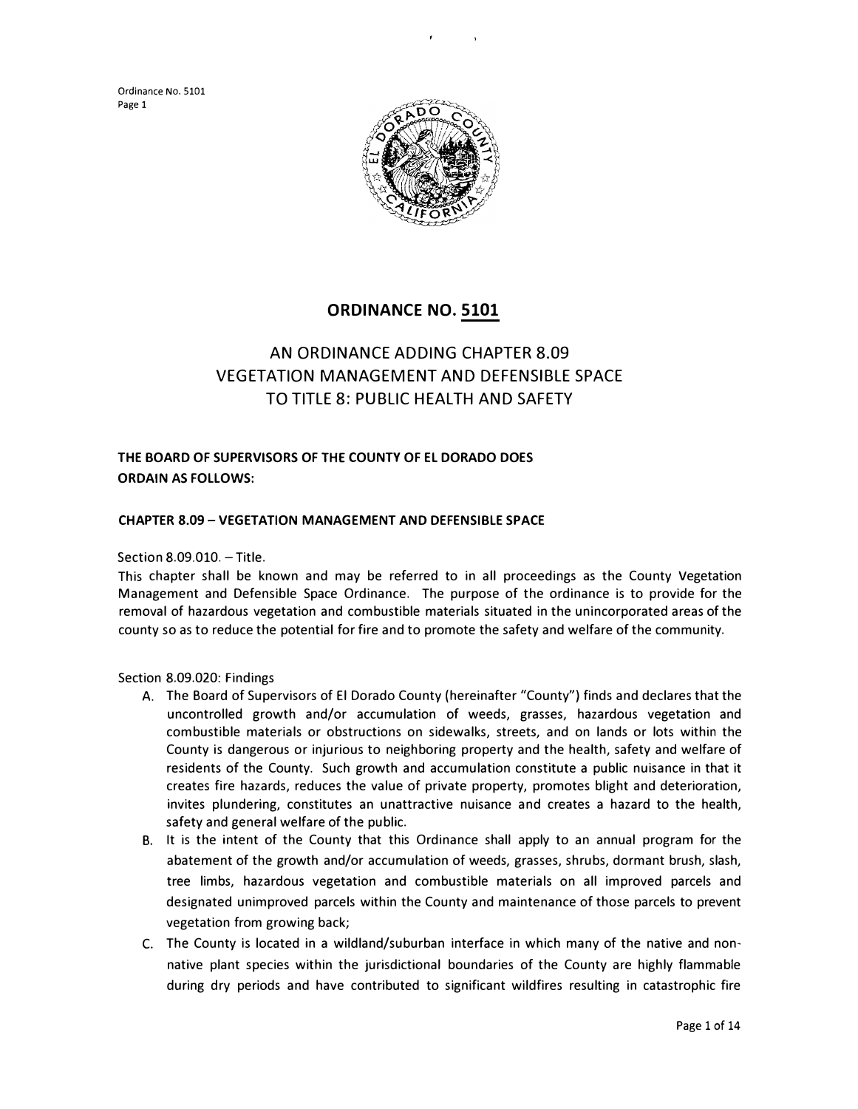

# **ORDINANCE NO. 5101**

# AN ORDINANCE ADDING CHAPTER 8.09 VEGETATION MANAGEMENT AND DEFENSIBLE SPACE TO TITLE 8: PUBLIC HEALTH AND SAFETY

# **THE BOARD OF SUPERVISORS OF** THE **COUNTY OF EL DORADO DOES ORDAIN AS FOLLOWS:**

## **CHAPTER 8.09 -VEGETATION MANAGEMENT AND DEFENSIBLE SPACE**

Section 8.09.010. - Title.

This chapter shall be known and may be referred to in all proceedings as the County Vegetation Management and Defensible Space Ordinance. The purpose of the ordinance is to provide for the removal of hazardous vegetation and combustible materials situated in the unincorporated areas of the county so as to reduce the potential for fire and to promote the safety and welfare of the community.

Section 8.09.020: Findings

- A. The Board of Supervisors of El Dorado County (hereinafter "County") finds and declares that the uncontrolled growth and/or accumulation of weeds, grasses, hazardous vegetation and combustible materials or obstructions on sidewalks, streets, and on lands or lots within the County is dangerous or injurious to neighboring property and the health, safety and welfare of residents of the County. Such growth and accumulation constitute a public nuisance in that it creates fire hazards, reduces the value of private property, promotes blight and deterioration, invites plundering, constitutes an unattractive nuisance and creates a hazard to the health, safety and general welfare of the public.
- B. It is the intent of the County that this Ordinance shall apply to an annual program for the abatement of the growth and/or accumulation of weeds, grasses, shrubs, dormant brush, slash, tree limbs, hazardous vegetation and combustible materials on all improved parcels and designated unimproved parcels within the County and maintenance of those parcels to prevent vegetation from growing back;
- C. The County is located in a wildland/suburban interface in which many of the native and nonnative plant species within the jurisdictional boundaries of the County are highly flammable during dry periods and have contributed to significant wildfires resulting in catastrophic fire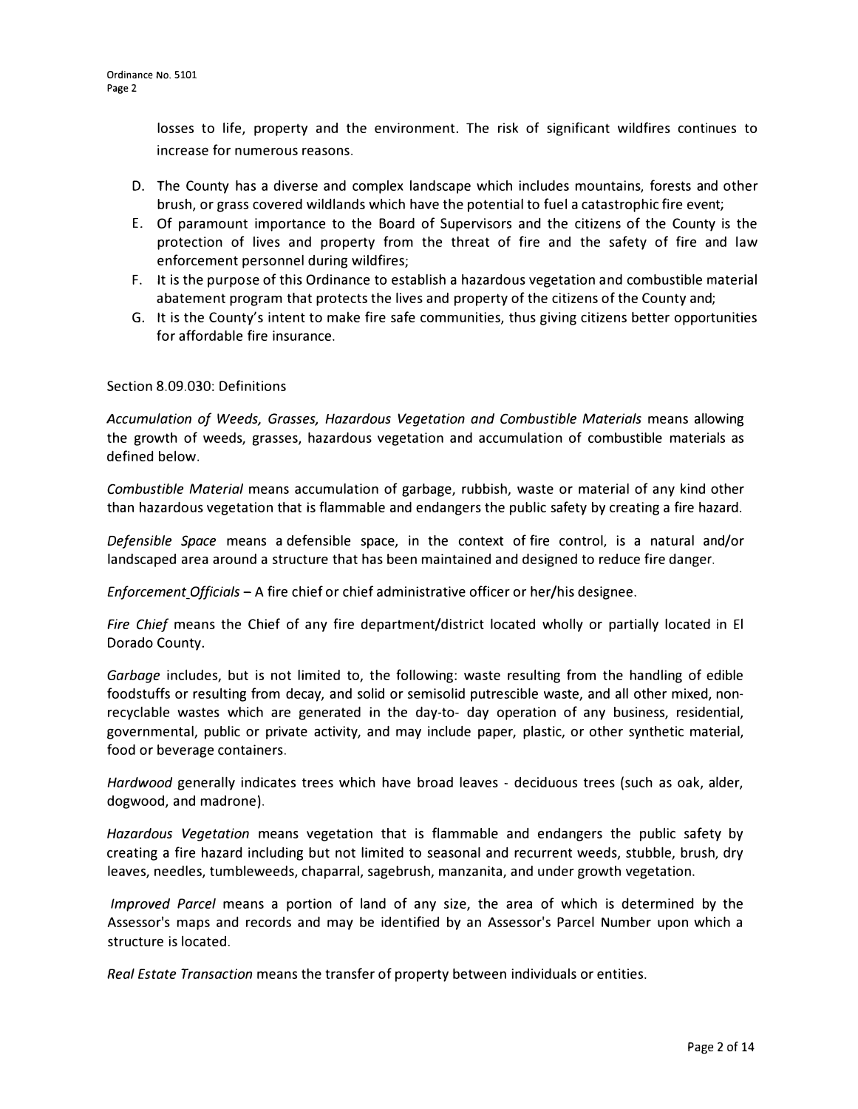losses to life, property and the environment. The risk of significant wildfires continues to increase for numerous reasons.

- D. The County has a diverse and complex landscape which includes mountains, forests and other brush, or grass covered wildlands which have the potential to fuel a catastrophic fire event;
- E. Of paramount importance to the Board of Supervisors and the citizens of the County is the protection of lives and property from the threat of fire and the safety of fire and law enforcement personnel during wildfires;
- F. It is the purpose of this Ordinance to establish a hazardous vegetation and combustible material abatement program that protects the lives and property of the citizens of the County and;
- G. It is the County's intent to make fire safe communities, thus giving citizens better opportunities for affordable fire insurance.

# Section 8.09.030: Definitions

*Accumulation of Weeds, Grasses, Hazardous Vegetation and Combustible Materials* means allowing the growth of weeds, grasses, hazardous vegetation and accumulation of combustible materials as defined below.

*Combustible Material* means accumulation of garbage, rubbish, waste or material of any kind other than hazardous vegetation that is flammable and endangers the public safety by creating a fire hazard.

*Defensible Space* means a defensible space, in the context of fire control, is a natural and/or landscaped area around a structure that has been maintained and designed to reduce fire danger.

*Enforcement Officials – A fire chief or chief administrative officer or her/his designee.* 

*Fire Chief* means the Chief of any fire department/district located wholly or partially located in El Dorado County.

*Garbage* includes, but is not limited to, the following: waste resulting from the handling of edible foodstuffs or resulting from decay, and solid or semisolid putrescible waste, and all other mixed, nonrecyclable wastes which are generated in the day-to- day operation of any business, residential, governmental, public or private activity, and may include paper, plastic, or other synthetic material, food or beverage containers.

*Hardwood* generally indicates trees which have broad leaves - deciduous trees (such as oak, alder, dogwood, and madrone).

*Hazardous Vegetation* means vegetation that is flammable and endangers the public safety by creating a fire hazard including but not limited to seasonal and recurrent weeds, stubble, brush, dry leaves, needles, tumbleweeds, chaparral, sagebrush, manzanita, and under growth vegetation.

*Improved Parcel* means a portion of land of any size, the area of which is determined by the Assessor's maps and records and may be identified by an Assessor's Parcel Number upon which a structure is located.

*Real Estate Transaction* means the transfer of property between individuals or entities.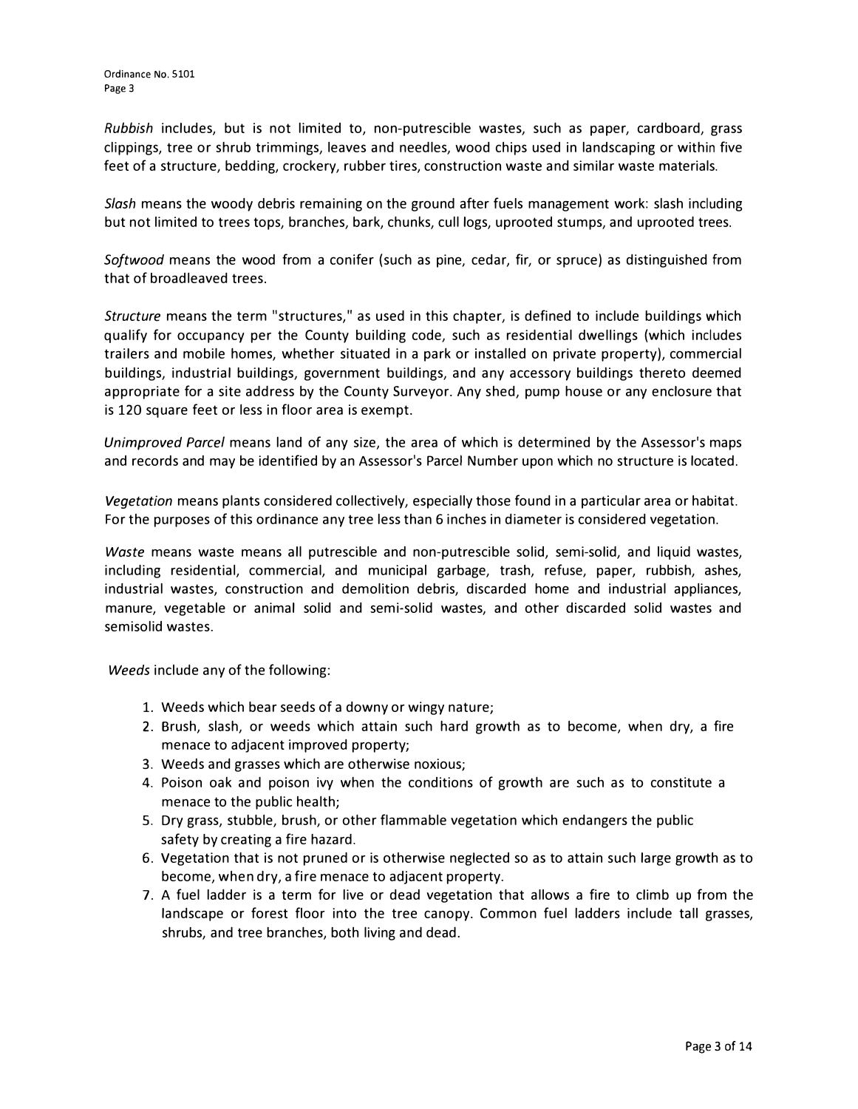*Rubbish* includes, but is not limited to, non-putrescible wastes, such as paper, cardboard, grass clippings, tree or shrub trimmings, leaves and needles, wood chips used in landscaping or within five feet of a structure, bedding, crockery, rubber tires, construction waste and similar waste materials.

*Slash* means the woody debris remaining on the ground after fuels management work: slash including but not limited to trees tops, branches, bark, chunks, cull logs, uprooted stumps, and uprooted trees.

*Softwood* means the wood from a conifer (such as pine, cedar, fir, or spruce) as distinguished from that of broadleaved trees.

*Structure* means the term "structures," as used in this chapter, is defined to include buildings which qualify for occupancy per the County building code, such as residential dwellings (which includes trailers and mobile homes, whether situated in a park or installed on private property), commercial buildings, industrial buildings, government buildings, and any accessory buildings thereto deemed appropriate for a site address by the County Surveyor. Any shed, pump house or any enclosure that is 120 square feet or less in floor area is exempt.

*Unimproved Parcel* means land of any size, the area of which is determined by the Assessor's maps and records and may be identified by an Assessor's Parcel Number upon which no structure is located.

*Vegetation* means plants considered collectively, especially those found in a particular area or habitat. For the purposes of this ordinance any tree less than 6 inches in diameter is considered vegetation.

*Waste* means waste means all putrescible and non-putrescible solid, semi-solid, and liquid wastes, including residential, commercial, and municipal garbage, trash, refuse, paper, rubbish, ashes, industrial wastes, construction and demolition debris, discarded home and industrial appliances, manure, vegetable or animal solid and semi-solid wastes, and other discarded solid wastes and semisolid wastes.

*Weeds* include any of the following:

- 1. Weeds which bear seeds of a downy or wingy nature;
- 2. Brush, slash, or weeds which attain such hard growth as to become, when dry, a fire menace to adjacent improved property;
- 3. Weeds and grasses which are otherwise noxious;
- 4. Poison oak and poison ivy when the conditions of growth are such as to constitute a menace to the public health;
- 5. Dry grass, stubble, brush, or other flammable vegetation which endangers the public safety by creating a fire hazard.
- 6. Vegetation that is not pruned or is otherwise neglected so as to attain such large growth as to become, when dry, a fire menace to adjacent property.
- 7. A fuel ladder is a term for live or dead vegetation that allows a fire to climb up from the landscape or forest floor into the tree canopy. Common fuel ladders include tall grasses, shrubs, and tree branches, both living and dead.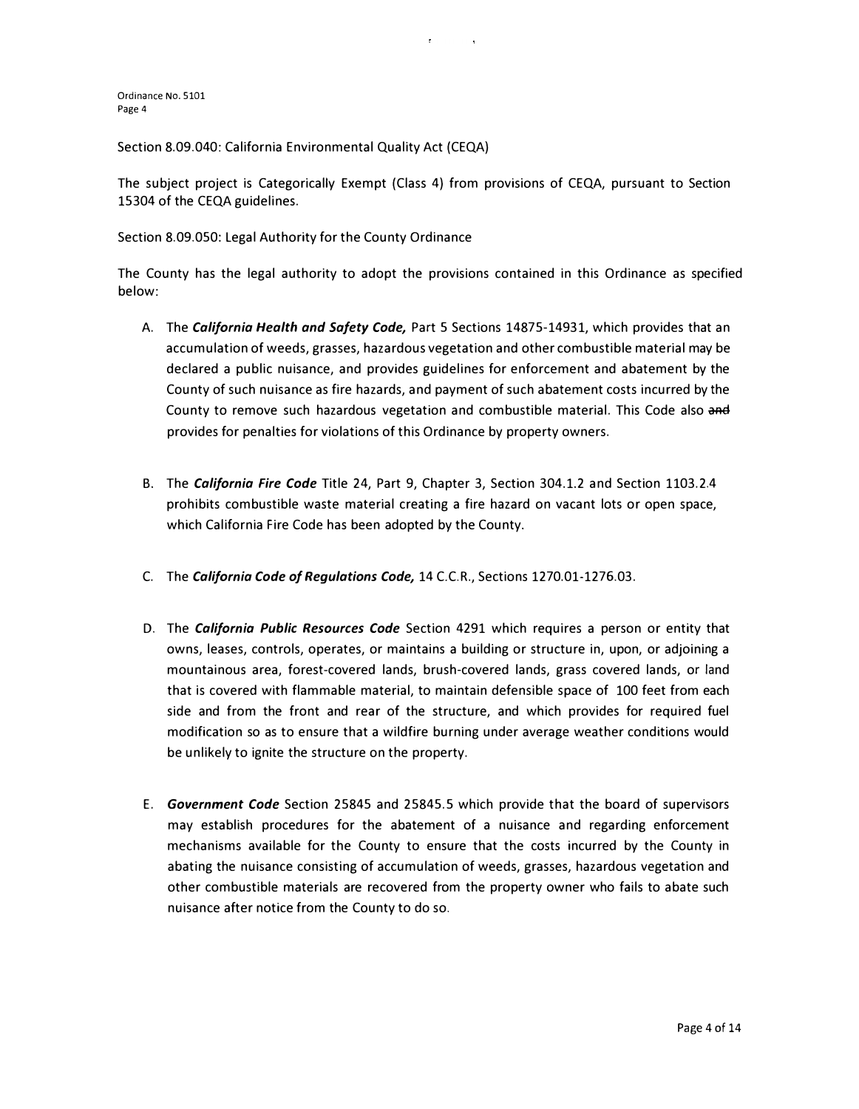Section 8.09.040: California Environmental Quality Act (CEQA)

The subject project is Categorically Exempt (Class 4) from provisions of CEQA, pursuant to Section 15304 of the CEQA guidelines.

Section 8.09.050: Legal Authority for the County Ordinance

The County has the legal authority to adopt the provisions contained in this Ordinance as specified below:

- A. The *California Health and Safety Code,* Part 5 Sections 14875-14931, which provides that an accumulation of weeds, grasses, hazardous vegetation and other combustible material may be declared a public nuisance, and provides guidelines for enforcement and abatement by the County of such nuisance as fire hazards, and payment of such abatement costs incurred by the County to remove such hazardous vegetation and combustible material. This Code also and provides for penalties for violations of this Ordinance by property owners.
- B. The *California Fire Code* Title 24, Part 9, Chapter 3, Section 304.1.2 and Section 1103.2.4 prohibits combustible waste material creating a fire hazard on vacant lots or open space, which California Fire Code has been adopted by the County.
- C. The *California Code of Regulations Code,* 14 C.C.R., Sections 1270.01-1276.03.
- D. The *California Public Resources Code* Section 4291 which requires a person or entity that owns, leases, controls, operates, or maintains a building or structure in, upon, or adjoining a mountainous area, forest-covered lands, brush-covered lands, grass covered lands, or land that is covered with flammable material, to maintain defensible space of 100 feet from each side and from the front and rear of the structure, and which provides for required fuel modification so as to ensure that a wildfire burning under average weather conditions would be unlikely to ignite the structure on the property.
- E. *Government Code* Section 25845 and 25845.5 which provide that the board of supervisors may establish procedures for the abatement of a nuisance and regarding enforcement mechanisms available for the County to ensure that the costs incurred by the County in abating the nuisance consisting of accumulation of weeds, grasses, hazardous vegetation and other combustible materials are recovered from the property owner who fails to abate such nuisance after notice from the County to do so.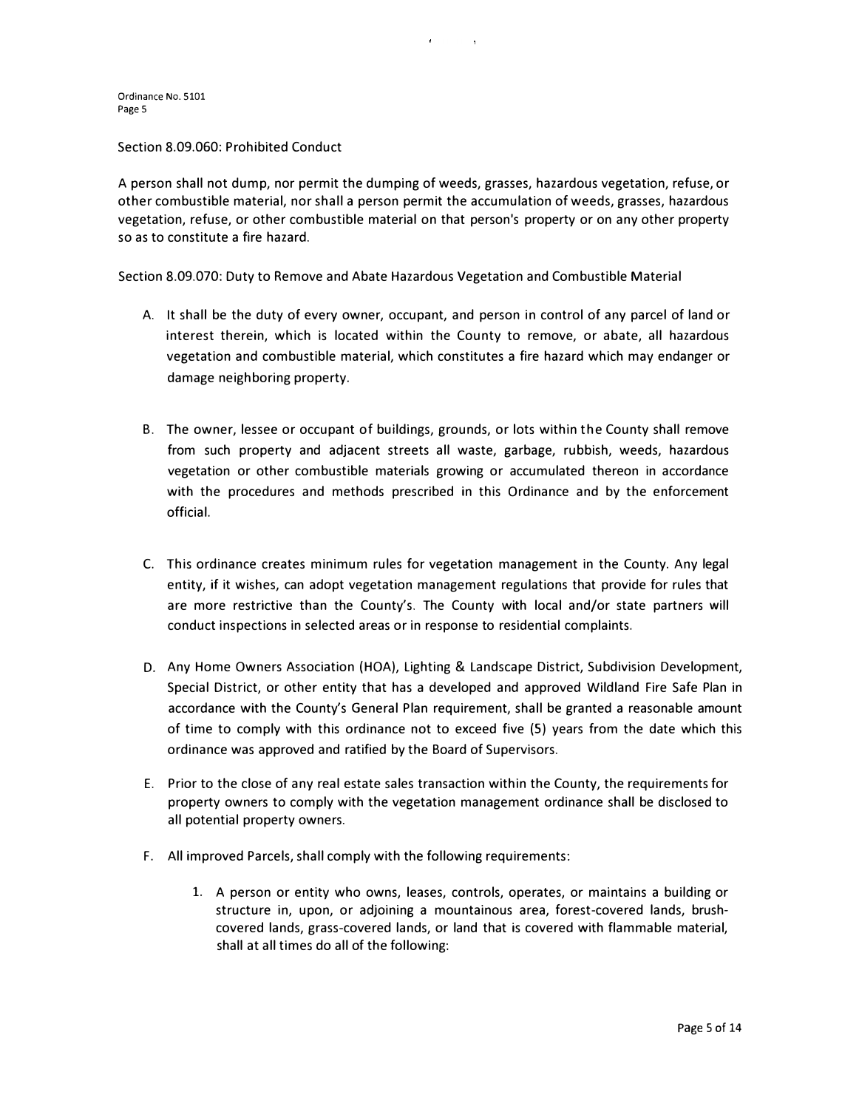Section 8.09.060: Prohibited Conduct

A person shall not dump, nor permit the dumping of weeds, grasses, hazardous vegetation, refuse, or other combustible material, nor shall a person permit the accumulation of weeds, grasses, hazardous vegetation, refuse, or other combustible material on that person's property or on any other property so as to constitute a fire hazard.

Section 8.09.070: Duty to Remove and Abate Hazardous Vegetation and Combustible Material

- A. It shall be the duty of every owner, occupant, and person in control of any parcel of land or interest therein, which is located within the County to remove, or abate, all hazardous vegetation and combustible material, which constitutes a fire hazard which may endanger or damage neighboring property.
- B. The owner, lessee or occupant of buildings, grounds, or lots within the County shall remove from such property and adjacent streets all waste, garbage, rubbish, weeds, hazardous vegetation or other combustible materials growing or accumulated thereon in accordance with the procedures and methods prescribed in this Ordinance and by the enforcement official.
- C. This ordinance creates minimum rules for vegetation management in the County. Any legal entity, if it wishes, can adopt vegetation management regulations that provide for rules that are more restrictive than the County's. The County with local and/or state partners will conduct inspections in selected areas or in response to residential complaints.
- D. Any Home Owners Association (HOA), Lighting & Landscape District, Subdivision Development, Special District, or other entity that has a developed and approved Wildland Fire Safe Plan in accordance with the County's General Plan requirement, shall be granted a reasonable amount of time to comply with this ordinance not to exceed five (5) years from the date which this ordinance was approved and ratified by the Board of Supervisors.
- E. Prior to the close of any real estate sales transaction within the County, the requirements for property owners to comply with the vegetation management ordinance shall be disclosed to all potential property owners.
- F. All improved Parcels, shall comply with the following requirements:
	- 1. A person or entity who owns, leases, controls, operates, or maintains a building or structure in, upon, or adjoining a mountainous area, forest-covered lands, brushcovered lands, grass-covered lands, or land that is covered with flammable material, shall at all times do all of the following: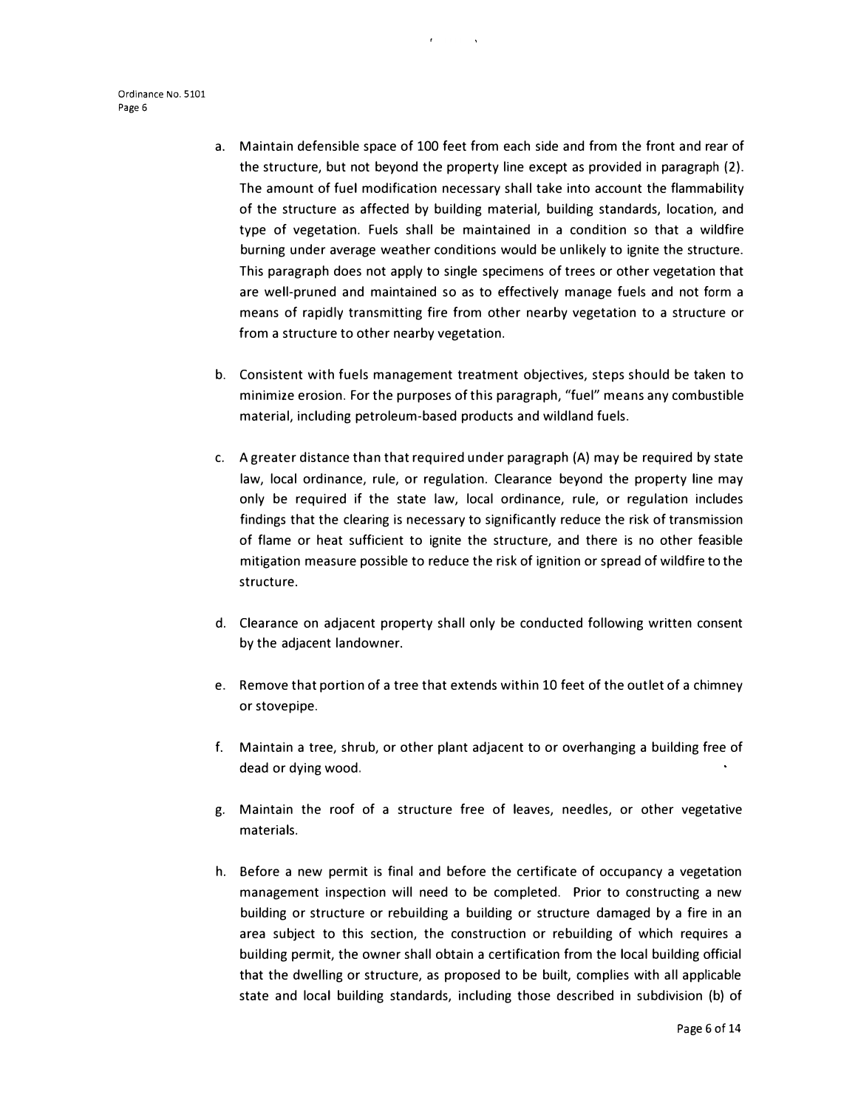- a. Maintain defensible space of 100 feet from each side and from the front and rear of the structure, but not beyond the property line except as provided in paragraph (2). The amount of fuel modification necessary shall take into account the flammability of the structure as affected by building material, building standards, location, and type of vegetation. Fuels shall be maintained in a condition so that a wildfire burning under average weather conditions would be unlikely to ignite the structure. This paragraph does not apply to single specimens of trees or other vegetation that are well-pruned and maintained so as to effectively manage fuels and not form a means of rapidly transmitting fire from other nearby vegetation to a structure or from a structure to other nearby vegetation.
- b. Consistent with fuels management treatment objectives, steps should be taken to minimize erosion. For the purposes of this paragraph, "fuel" means any combustible material, including petroleum-based products and wildland fuels.
- c. A greater distance than that required under paragraph (A) may be required by state law, local ordinance, rule, or regulation. Clearance beyond the property line may only be required if the state law, local ordinance, rule, or regulation includes findings that the clearing is necessary to significantly reduce the risk of transmission of flame or heat sufficient to ignite the structure, and there is no other feasible mitigation measure possible to reduce the risk of ignition or spread of wildfire to the structure.
- d. Clearance on adjacent property shall only be conducted following written consent by the adjacent landowner.
- e. Remove that portion of a tree that extends within 10 feet of the outlet of a chimney or stovepipe.
- f. Maintain a tree, shrub, or other plant adjacent to or overhanging a building free of dead or dying wood.
- g. Maintain the roof of a structure free of leaves, needles, or other vegetative materials.
- h. Before a new permit is final and before the certificate of occupancy a vegetation management inspection will need to be completed. Prior to constructing a new building or structure or rebuilding a building or structure damaged by a fire in an area subject to this section, the construction or rebuilding of which requires a building permit, the owner shall obtain a certification from the local building official that the dwelling or structure, as proposed to be built, complies with all applicable state and local building standards, including those described in subdivision (b) of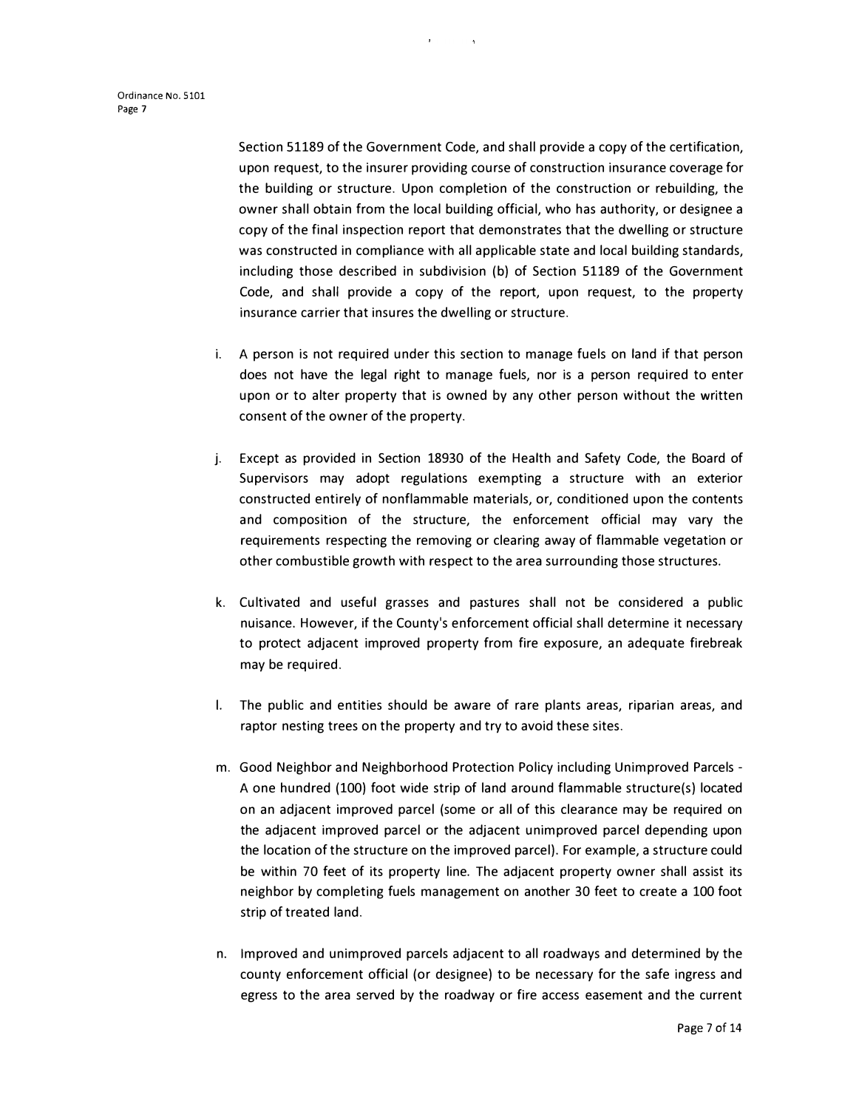Section 51189 of the Government Code, and shall provide a copy of the certification, upon request, to the insurer providing course of construction insurance coverage for the building or structure. Upon completion of the construction or rebuilding, the owner shall obtain from the local building official, who has authority, or designee a copy of the final inspection report that demonstrates that the dwelling or structure was constructed in compliance with all applicable state and local building standards, including those described in subdivision (b) of Section 51189 of the Government Code, and shall provide a copy of the report, upon request, to the property insurance carrier that insures the dwelling or structure.

- i. A person is not required under this section to manage fuels on land if that person does not have the legal right to manage fuels, nor is a person required to enter upon or to alter property that is owned by any other person without the written consent of the owner of the property.
- j. Except as provided in Section 18930 of the Health and Safety Code, the Board of Supervisors may adopt regulations exempting a structure with an exterior constructed entirely of nonflammable materials, or, conditioned upon the contents and composition of the structure, the enforcement official may vary the requirements respecting the removing or clearing away of flammable vegetation or other combustible growth with respect to the area surrounding those structures.
- k. Cultivated and useful grasses and pastures shall not be considered a public nuisance. However, if the County's enforcement official shall determine it necessary to protect adjacent improved property from fire exposure, an adequate firebreak may be required.
- I. The public and entities should be aware of rare plants areas, riparian areas, and raptor nesting trees on the property and try to avoid these sites.
- m. Good Neighbor and Neighborhood Protection Policy including Unimproved Parcels A one hundred (100) foot wide strip of land around flammable structure(s) located on an adjacent improved parcel (some or all of this clearance may be required on the adjacent improved parcel or the adjacent unimproved parcel depending upon the location of the structure on the improved parcel). For example, a structure could be within 70 feet of its property line. The adjacent property owner shall assist its neighbor by completing fuels management on another 30 feet to create a 100 foot strip of treated land.
- n. Improved and unimproved parcels adjacent to all roadways and determined by the county enforcement official (or designee) to be necessary for the safe ingress and egress to the area served by the roadway or fire access easement and the current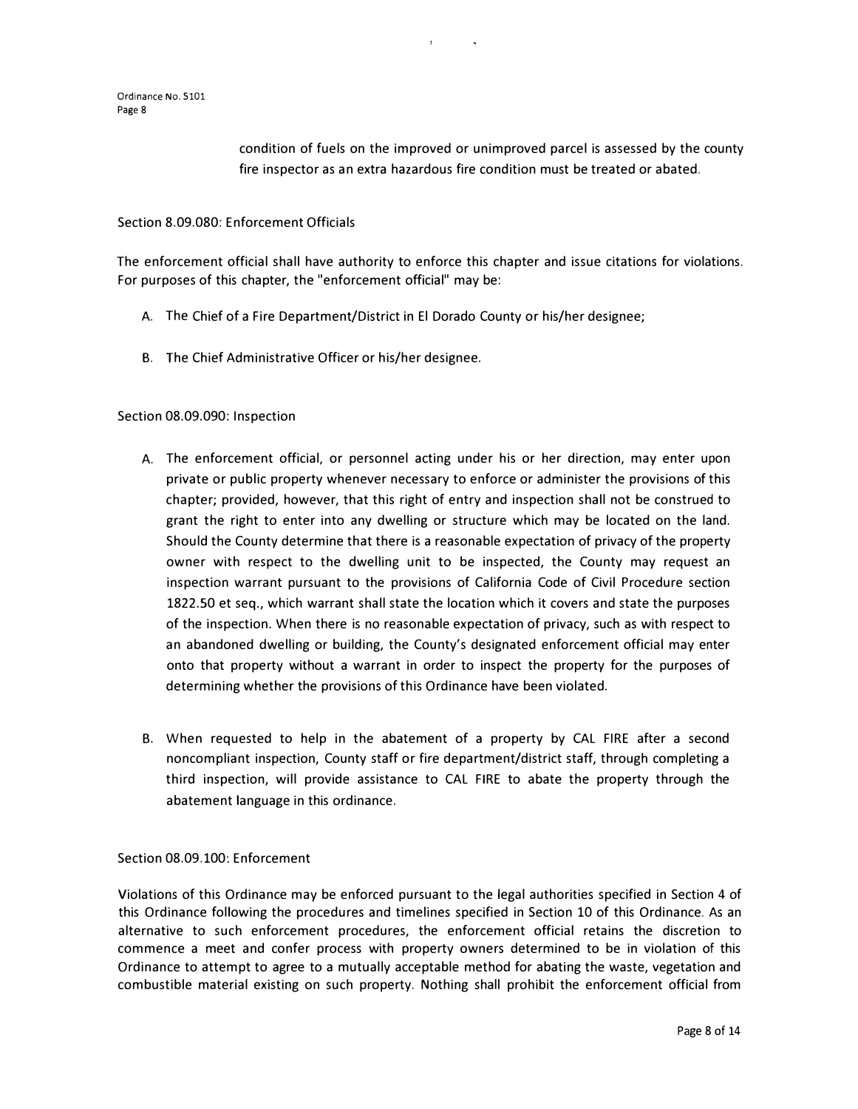condition of fuels on the improved or unimproved parcel is assessed by the county fire inspector as an extra hazardous fire condition must be treated or abated.

#### Section 8.09.080: Enforcement Officials

The enforcement official shall have authority to enforce this chapter and issue citations for violations. For purposes of this chapter, the "enforcement official" may be:

- A. The Chief of a Fire Department/District in El Dorado County or his/her designee;
- B. The Chief Administrative Officer or his/her designee.

#### Section 08.09.090: Inspection

- A. The enforcement official, or personnel acting under his or her direction, may enter upon private or public property whenever necessary to enforce or administer the provisions of this chapter; provided, however, that this right of entry and inspection shall not be construed to grant the right to enter into any dwelling or structure which may be located on the land. Should the County determine that there is a reasonable expectation of privacy of the property owner with respect to the dwelling unit to be inspected, the County may request an inspection warrant pursuant to the provisions of California Code of Civil Procedure section 1822.50 et seq., which warrant shall state the location which it covers and state the purposes of the inspection. When there is no reasonable expectation of privacy, such as with respect to an abandoned dwelling or building, the County's designated enforcement official may enter onto that property without a warrant in order to inspect the property for the purposes of determining whether the provisions of this Ordinance have been violated.
- B. When requested to help in the abatement of a property by CAL FIRE after a second noncompliant inspection, County staff or fire department/district staff, through completing a third inspection, will provide assistance to CAL FIRE to abate the property through the abatement language in this ordinance.

### Section 08.09.100: Enforcement

Violations of this Ordinance may be enforced pursuant to the legal authorities specified in Section 4 of this Ordinance following the procedures and timelines specified in Section 10 of this Ordinance. As an alternative to such enforcement procedures, the enforcement official retains the discretion to commence a meet and confer process with property owners determined to be in violation of this Ordinance to attempt to agree to a mutually acceptable method for abating the waste, vegetation and combustible material existing on such property. Nothing shall prohibit the enforcement official from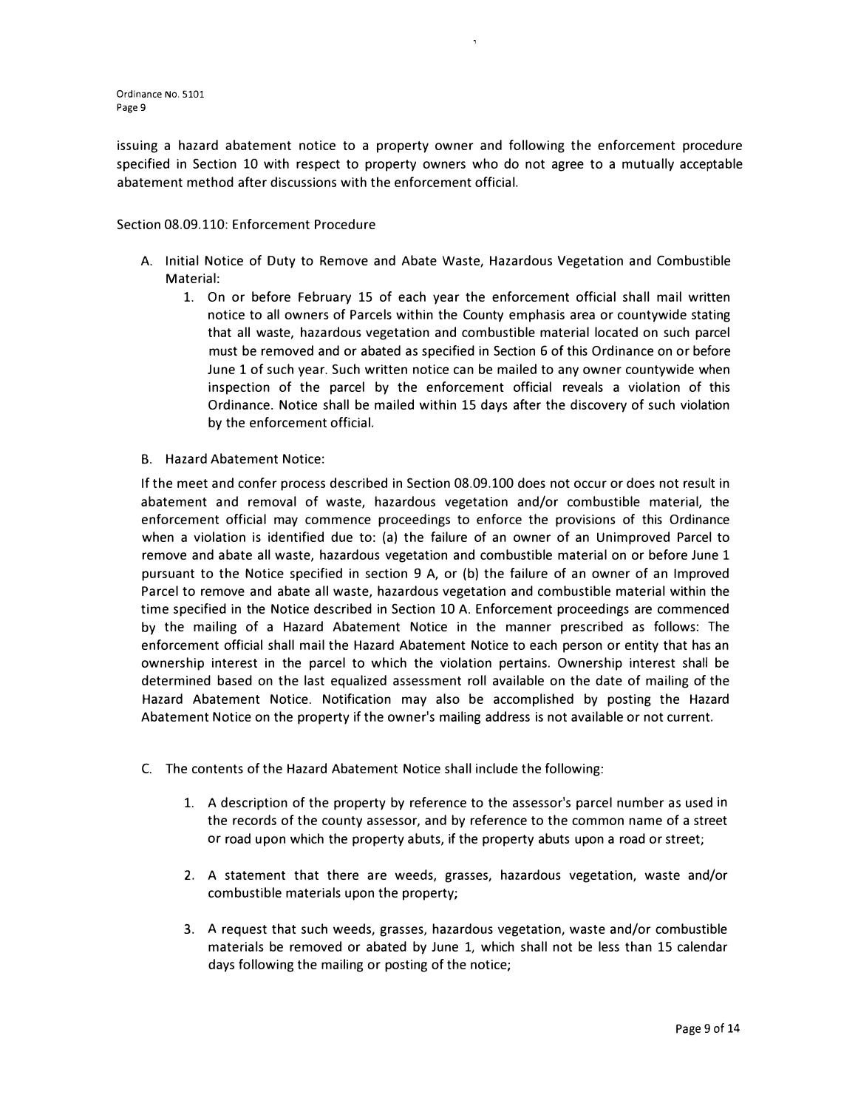issuing a hazard abatement notice to a property owner and following the enforcement procedure specified in Section 10 with respect to property owners who do not agree to a mutually acceptable abatement method after discussions with the enforcement official.

### Section 08.09.110: Enforcement Procedure

- A. Initial Notice of Duty to Remove and Abate Waste, Hazardous Vegetation and Combustible Material:
	- 1. On or before February 15 of each year the enforcement official shall mail written notice to all owners of Parcels within the County emphasis area or countywide stating that all waste, hazardous vegetation and combustible material located on such parcel must be removed and or abated as specified in Section 6 of this Ordinance on or before June 1 of such year. Such written notice can be mailed to any owner countywide when inspection of the parcel by the enforcement official reveals a violation of this Ordinance. Notice shall be mailed within 15 days after the discovery of such violation by the enforcement official.
- B. Hazard Abatement Notice:

If the meet and confer process described in Section 08.09.100 does not occur or does not result in abatement and removal of waste, hazardous vegetation and/or combustible material, the enforcement official may commence proceedings to enforce the provisions of this Ordinance when a violation is identified due to: (a) the failure of an owner of an Unimproved Parcel to remove and abate all waste, hazardous vegetation and combustible material on or before June 1 pursuant to the Notice specified in section 9 A, or (b) the failure of an owner of an Improved Parcel to remove and abate all waste, hazardous vegetation and combustible material within the time specified in the Notice described in Section 10 A. Enforcement proceedings are commenced by the mailing of a Hazard Abatement Notice in the manner prescribed as follows: The enforcement official shall mail the Hazard Abatement Notice to each person or entity that has an ownership interest in the parcel to which the violation pertains. Ownership interest shall be determined based on the last equalized assessment roll available on the date of mailing of the Hazard Abatement Notice. Notification may also be accomplished by posting the Hazard Abatement Notice on the property if the owner's mailing address is not available or not current.

- C. The contents of the Hazard Abatement Notice shall include the following:
	- 1. A description of the property by reference to the assessor's parcel number as used in the records of the county assessor, and by reference to the common name of a street or road upon which the property abuts, if the property abuts upon a road or street;
	- 2. A statement that there are weeds, grasses, hazardous vegetation, waste and/or combustible materials upon the property;
	- 3. A request that such weeds, grasses, hazardous vegetation, waste and/or combustible materials be removed or abated by June 1, which shall not be less than 15 calendar days following the mailing or posting of the notice;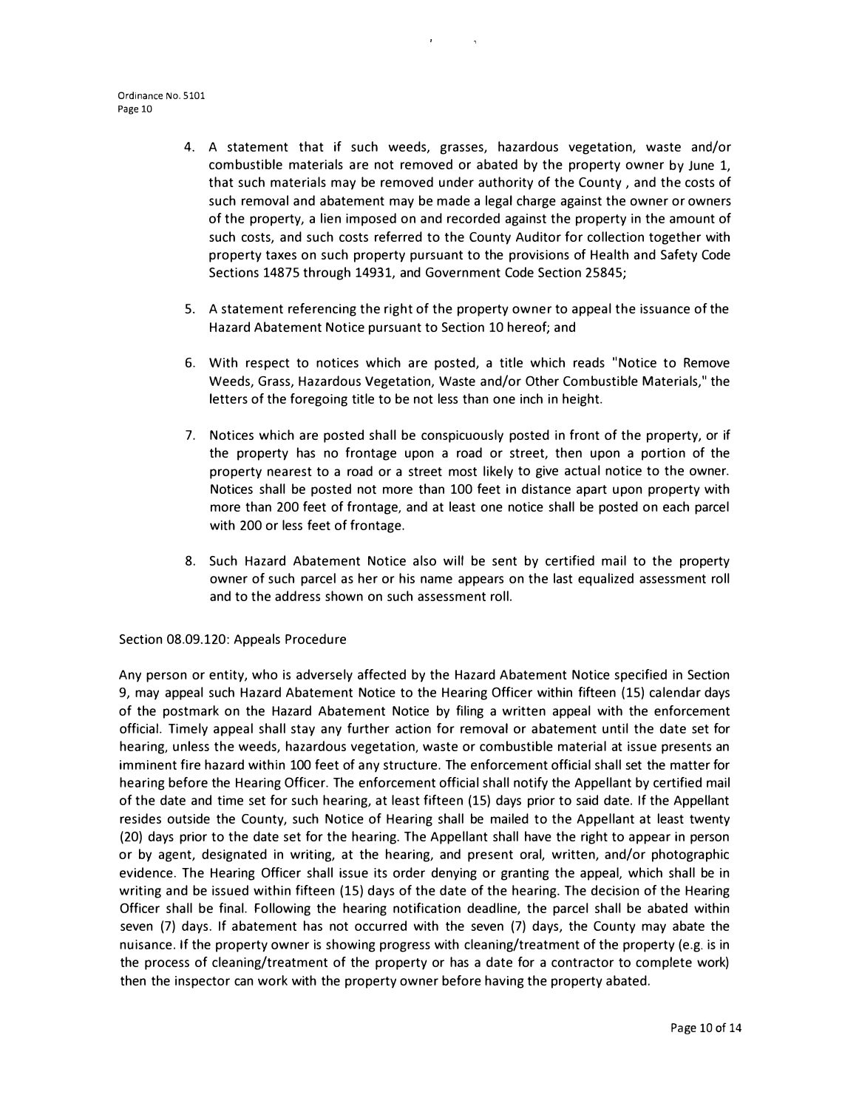- 4. A statement that if such weeds, grasses, hazardous vegetation, waste and/or combustible materials are not removed or abated by the property owner by June 1, that such materials may be removed under authority of the County , and the costs of such removal and abatement may be made a legal charge against the owner or owners of the property, a lien imposed on and recorded against the property in the amount of such costs, and such costs referred to the County Auditor for collection together with property taxes on such property pursuant to the provisions of Health and Safety Code Sections 14875 through 14931, and Government Code Section 25845;
- 5. A statement referencing the right of the property owner to appeal the issuance of the Hazard Abatement Notice pursuant to Section 10 hereof; and
- 6. With respect to notices which are posted, a title which reads "Notice to Remove Weeds, Grass, Hazardous Vegetation, Waste and/or Other Combustible Materials," the letters of the foregoing title to be not less than one inch in height.
- 7. Notices which are posted shall be conspicuously posted in front of the property, or if the property has no frontage upon a road or street, then upon a portion of the property nearest to a road or a street most likely to give actual notice to the owner. Notices shall be posted not more than 100 feet in distance apart upon property with more than 200 feet of frontage, and at least one notice shall be posted on each parcel with 200 or less feet of frontage.
- 8. Such Hazard Abatement Notice also will be sent by certified mail to the property owner of such parcel as her or his name appears on the last equalized assessment roll and to the address shown on such assessment roll.

#### Section 08.09.120: Appeals Procedure

Any person or entity, who is adversely affected by the Hazard Abatement Notice specified in Section 9, may appeal such Hazard Abatement Notice to the Hearing Officer within fifteen {15) calendar days of the postmark on the Hazard Abatement Notice by filing a written appeal with the enforcement official. Timely appeal shall stay any further action for removal or abatement until the date set for hearing, unless the weeds, hazardous vegetation, waste or combustible material at issue presents an imminent fire hazard within 100 feet of any structure. The enforcement official shall set the matter for hearing before the Hearing Officer. The enforcement official shall notify the Appellant by certified mail of the date and time set for such hearing, at least fifteen (15) days prior to said date. If the Appellant resides outside the County, such Notice of Hearing shall be mailed to the Appellant at least twenty (20) days prior to the date set for the hearing. The Appellant shall have the right to appear in person or by agent, designated in writing, at the hearing, and present oral, written, and/or photographic evidence. The Hearing Officer shall issue its order denying or granting the appeal, which shall be in writing and be issued within fifteen (15) days of the date of the hearing. The decision of the Hearing Officer shall be final. Following the hearing notification deadline, the parcel shall be abated within seven (7) days. If abatement has not occurred with the seven (7) days, the County may abate the nuisance. If the property owner is showing progress with cleaning/treatment of the property (e.g. is in the process of cleaning/treatment of the property or has a date for a contractor to complete work) then the inspector can work with the property owner before having the property abated.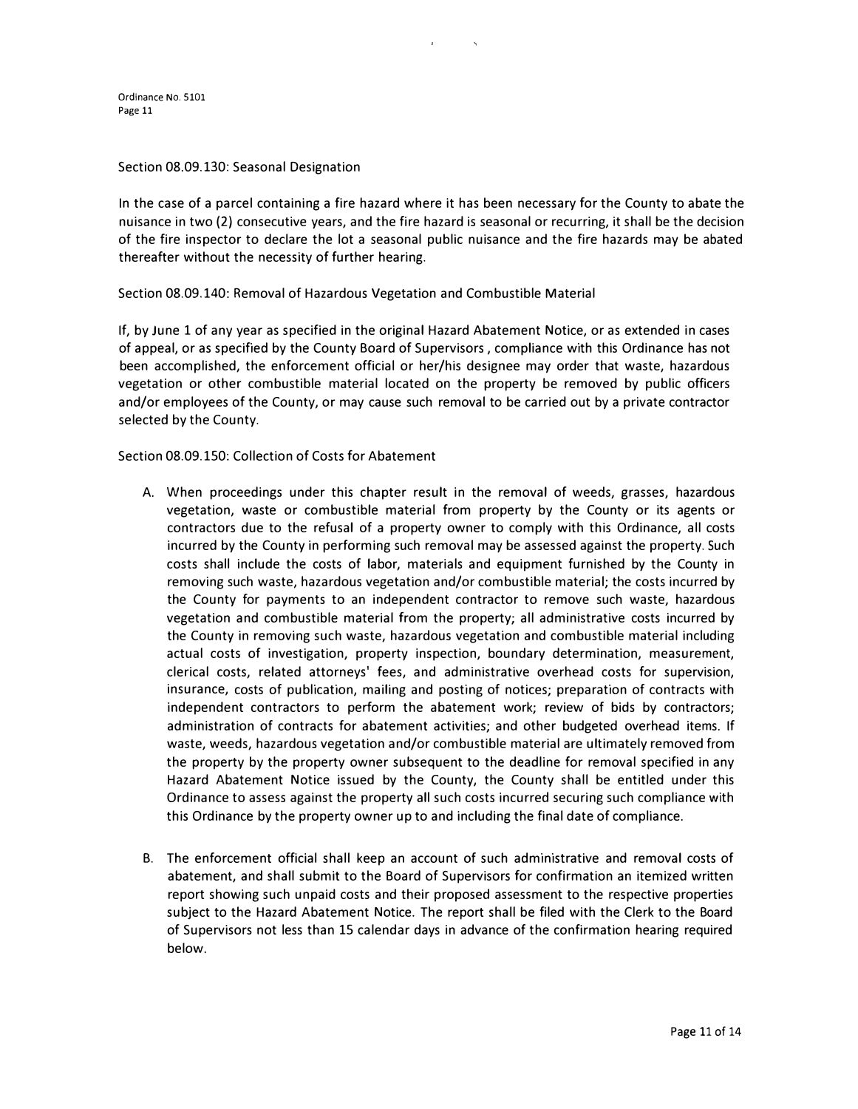#### Section 08.09.130: Seasonal Designation

In the case of a parcel containing a fire hazard where it has been necessary for the County to abate the nuisance in two (2) consecutive years, and the fire hazard is seasonal or recurring, it shall be the decision of the fire inspector to declare the lot a seasonal public nuisance and the fire hazards may be abated thereafter without the necessity of further hearing.

Section 08.09.140: Removal of Hazardous Vegetation and Combustible Material

If, by June 1 of any year as specified in the original Hazard Abatement Notice, or as extended in cases of appeal, or as specified by the County Board of Supervisors , compliance with this Ordinance has not been accomplished, the enforcement official or her/his designee may order that waste, hazardous vegetation or other combustible material located on the property be removed by public officers and/or employees of the County, or may cause such removal to be carried out by a private contractor selected by the County.

Section 08.09.150: Collection of Costs for Abatement

- A. When proceedings under this chapter result in the removal of weeds, grasses, hazardous vegetation, waste or combustible material from property by the County or its agents or contractors due to the refusal of a property owner to comply with this Ordinance, all costs incurred by the County in performing such removal may be assessed against the property. Such costs shall include the costs of labor, materials and equipment furnished by the County in removing such waste, hazardous vegetation and/or combustible material; the costs incurred by the County for payments to an independent contractor to remove such waste, hazardous vegetation and combustible material from the property; all administrative costs incurred by the County in removing such waste, hazardous vegetation and combustible material including actual costs of investigation, property inspection, boundary determination, measurement, clerical costs, related attorneys' fees, and administrative overhead costs for supervision, insurance, costs of publication, mailing and posting of notices; preparation of contracts with independent contractors to perform the abatement work; review of bids by contractors; administration of contracts for abatement activities; and other budgeted overhead items. If waste, weeds, hazardous vegetation and/or combustible material are ultimately removed from the property by the property owner subsequent to the deadline for removal specified in any Hazard Abatement Notice issued by the County, the County shall be entitled under this Ordinance to assess against the property all such costs incurred securing such compliance with this Ordinance by the property owner up to and including the final date of compliance.
- B. The enforcement official shall keep an account of such administrative and removal costs of abatement, and shall submit to the Board of Supervisors for confirmation an itemized written report showing such unpaid costs and their proposed assessment to the respective properties subject to the Hazard Abatement Notice. The report shall be filed with the Clerk to the Board of Supervisors not less than 15 calendar days in advance of the confirmation hearing required below.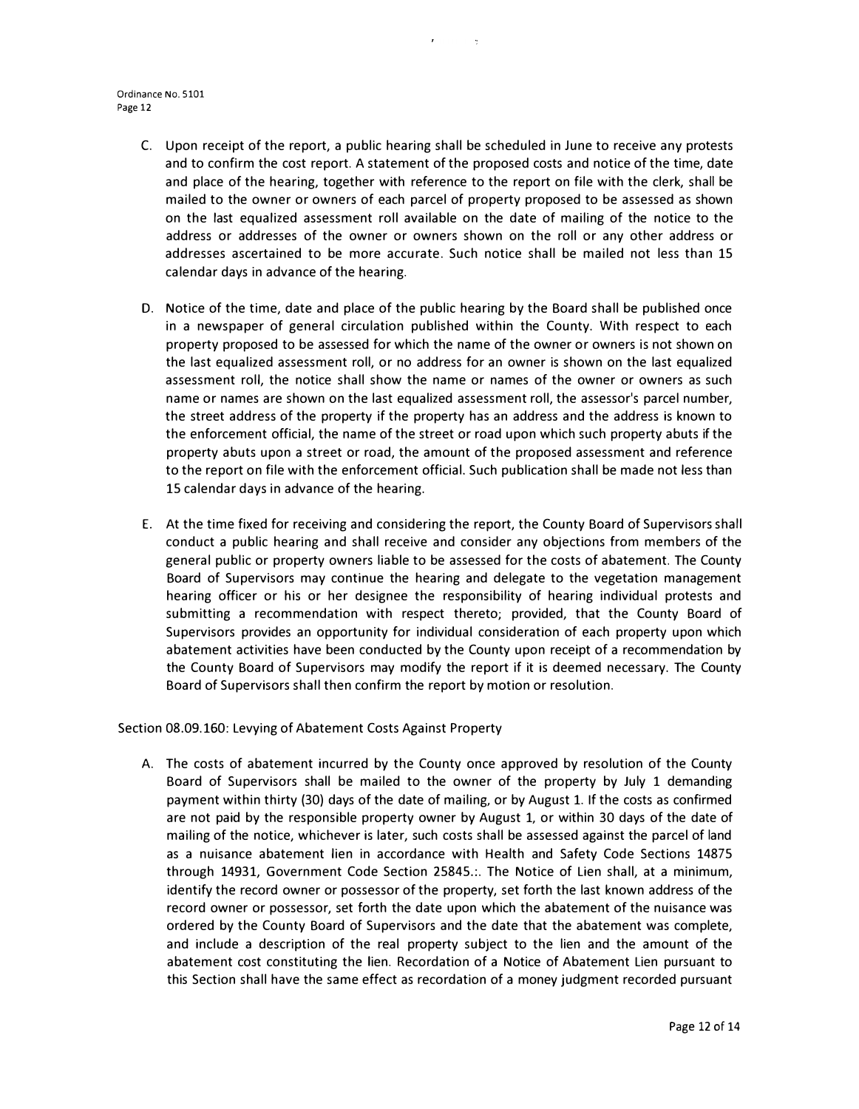- C. Upon receipt of the report, a public hearing shall be scheduled in June to receive any protests and to confirm the cost report. A statement of the proposed costs and notice of the time, date and place of the hearing, together with reference to the report on file with the clerk, shall be mailed to the owner or owners of each parcel of property proposed to be assessed as shown on the last equalized assessment roll available on the date of mailing of the notice to the address or addresses of the owner or owners shown on the roll or any other address or addresses ascertained to be more accurate. Such notice shall be mailed not less than 15 calendar days in advance of the hearing.
- D. Notice of the time, date and place of the public hearing by the Board shall be published once in a newspaper of general circulation published within the County. With respect to each property proposed to be assessed for which the name of the owner or owners is not shown on the last equalized assessment roll, or no address for an owner is shown on the last equalized assessment roll, the notice shall show the name or names of the owner or owners as such name or names are shown on the last equalized assessment roll, the assessor's parcel number, the street address of the property if the property has an address and the address is known to the enforcement official, the name of the street or road upon which such property abuts if the property abuts upon a street or road, the amount of the proposed assessment and reference to the report on file with the enforcement official. Such publication shall be made not less than 15 calendar days in advance of the hearing.
- E. At the time fixed for receiving and considering the report, the County Board of Supervisors shall conduct a public hearing and shall receive and consider any objections from members of the general public or property owners liable to be assessed for the costs of abatement. The County Board of Supervisors may continue the hearing and delegate to the vegetation management hearing officer or his or her designee the responsibility of hearing individual protests and submitting a recommendation with respect thereto; provided, that the County Board of Supervisors provides an opportunity for individual consideration of each property upon which abatement activities have been conducted by the County upon receipt of a recommendation by the County Board of Supervisors may modify the report if it is deemed necessary. The County Board of Supervisors shall then confirm the report by motion or resolution.

Section 08.09.160: Levying of Abatement Costs Against Property

A. The costs of abatement incurred by the County once approved by resolution of the County Board of Supervisors shall be mailed to the owner of the property by July 1 demanding payment within thirty (30) days of the date of mailing, or by August 1. If the costs as confirmed are not paid by the responsible property owner by August 1, or within 30 days of the date of mailing of the notice, whichever is later, such costs shall be assessed against the parcel of land as a nuisance abatement lien in accordance with Health and Safety Code Sections 14875 through 14931, Government Code Section 25845.:. The Notice of Lien shall, at a minimum, identify the record owner or possessor of the property, set forth the last known address of the record owner or possessor, set forth the date upon which the abatement of the nuisance was ordered by the County Board of Supervisors and the date that the abatement was complete, and include a description of the real property subject to the lien and the amount of the abatement cost constituting the lien. Recordation of a Notice of Abatement Lien pursuant to this Section shall have the same effect as recordation of a money judgment recorded pursuant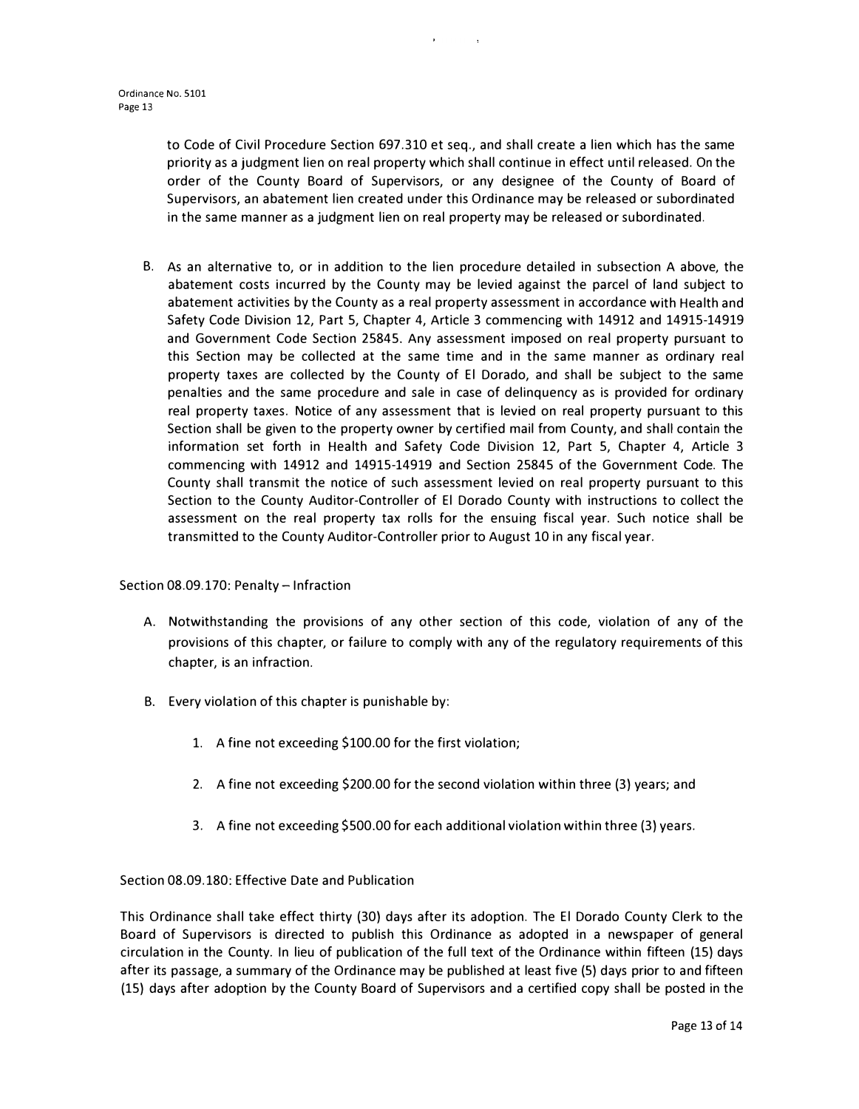to Code of Civil Procedure Section 697.310 et seq., and shall create a lien which has the same priority as a judgment lien on real property which shall continue in effect until released. On the order of the County Board of Supervisors, or any designee of the County of Board of Supervisors, an abatement lien created under this Ordinance may be released or subordinated in the same manner as a judgment lien on real property may be released or subordinated.

 $\mathbf{1}$ 

B. As an alternative to, or in addition to the lien procedure detailed in subsection A above, the abatement costs incurred by the County may be levied against the parcel of land subject to abatement activities by the County as a real property assessment in accordance with Health and Safety Code Division 12, Part 5, Chapter 4, Article 3 commencing with 14912 and 14915-14919 and Government Code Section 25845. Any assessment imposed on real property pursuant to this Section may be collected at the same time and in the same manner as ordinary real property taxes are collected by the County of El Dorado, and shall be subject to the same penalties and the same procedure and sale in case of delinquency as is provided for ordinary real property taxes. Notice of any assessment that is levied on real property pursuant to this Section shall be given to the property owner by certified mail from County, and shall contain the information set forth in Health and Safety Code Division 12, Part 5, Chapter 4, Article 3 commencing with 14912 and 14915-14919 and Section 25845 of the Government Code. The County shall transmit the notice of such assessment levied on real property pursuant to this Section to the County Auditor-Controller of El Dorado County with instructions to collect the assessment on the real property tax rolls for the ensuing fiscal year. Such notice shall be transmitted to the County Auditor-Controller prior to August 10 in any fiscal year.

Section 08.09.170: Penalty - Infraction

- A. Notwithstanding the provisions of any other section of this code, violation of any of the provisions of this chapter, or failure to comply with any of the regulatory requirements of this chapter, is an infraction.
- B. Every violation of this chapter is punishable by:
	- 1. A fine not exceeding \$100.00 for the first violation;
	- 2. A fine not exceeding \$200.00 for the second violation within three (3) years; and
	- 3. A fine not exceeding \$500.00 for each additional violation within three (3) years.

Section 08.09.180: Effective Date and Publication

This Ordinance shall take effect thirty (30) days after its adoption. The El Dorado County Clerk to the Board of Supervisors is directed to publish this Ordinance as adopted in a newspaper of general circulation in the County. In lieu of publication of the full text of the Ordinance within fifteen (15) days after its passage, a summary of the Ordinance may be published at least five (5) days prior to and fifteen (15) days after adoption by the County Board of Supervisors and a certified copy shall be posted in the